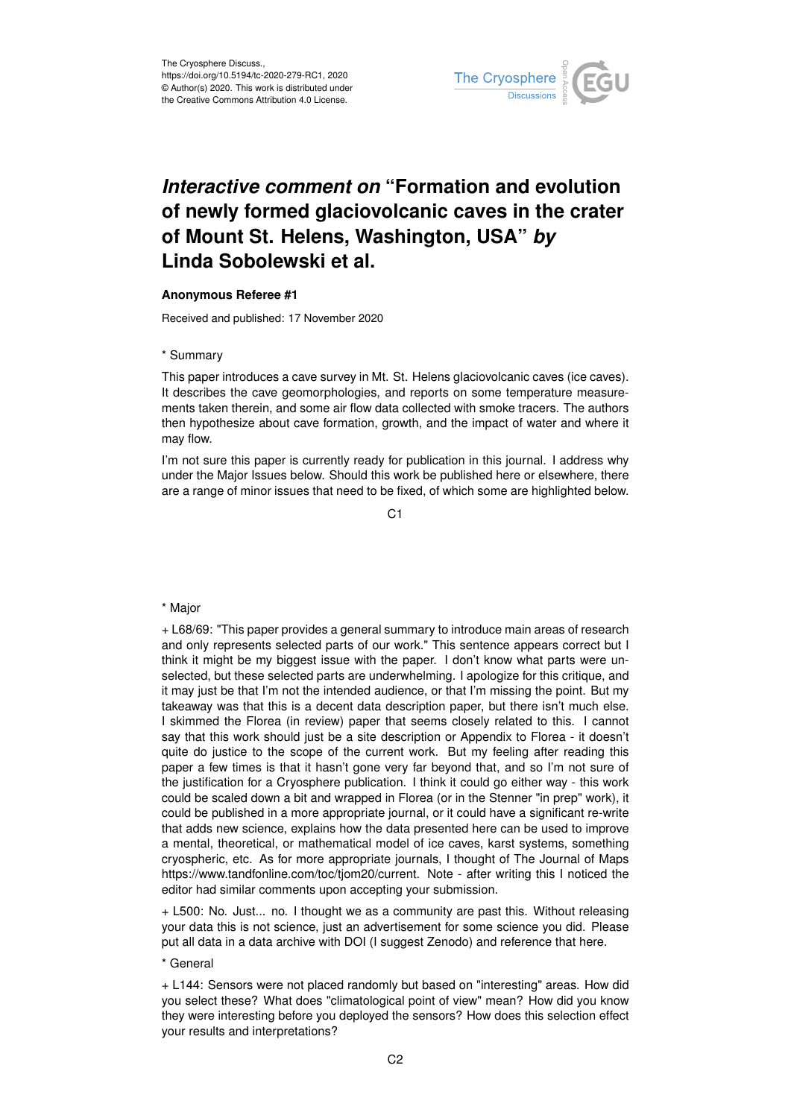

# *Interactive comment on* **"Formation and evolution of newly formed glaciovolcanic caves in the crater of Mount St. Helens, Washington, USA"** *by* **Linda Sobolewski et al.**

## **Anonymous Referee #1**

Received and published: 17 November 2020

## \* Summary

This paper introduces a cave survey in Mt. St. Helens glaciovolcanic caves (ice caves). It describes the cave geomorphologies, and reports on some temperature measurements taken therein, and some air flow data collected with smoke tracers. The authors then hypothesize about cave formation, growth, and the impact of water and where it may flow.

I'm not sure this paper is currently ready for publication in this journal. I address why under the Major Issues below. Should this work be published here or elsewhere, there are a range of minor issues that need to be fixed, of which some are highlighted below.

C<sub>1</sub>

### \* Major

+ L68/69: "This paper provides a general summary to introduce main areas of research and only represents selected parts of our work." This sentence appears correct but I think it might be my biggest issue with the paper. I don't know what parts were unselected, but these selected parts are underwhelming. I apologize for this critique, and it may just be that I'm not the intended audience, or that I'm missing the point. But my takeaway was that this is a decent data description paper, but there isn't much else. I skimmed the Florea (in review) paper that seems closely related to this. I cannot say that this work should just be a site description or Appendix to Florea - it doesn't quite do justice to the scope of the current work. But my feeling after reading this paper a few times is that it hasn't gone very far beyond that, and so I'm not sure of the justification for a Cryosphere publication. I think it could go either way - this work could be scaled down a bit and wrapped in Florea (or in the Stenner "in prep" work), it could be published in a more appropriate journal, or it could have a significant re-write that adds new science, explains how the data presented here can be used to improve a mental, theoretical, or mathematical model of ice caves, karst systems, something cryospheric, etc. As for more appropriate journals, I thought of The Journal of Maps https://www.tandfonline.com/toc/tjom20/current. Note - after writing this I noticed the editor had similar comments upon accepting your submission.

+ L500: No. Just... no. I thought we as a community are past this. Without releasing your data this is not science, just an advertisement for some science you did. Please put all data in a data archive with DOI (I suggest Zenodo) and reference that here.

### \* General

+ L144: Sensors were not placed randomly but based on "interesting" areas. How did you select these? What does "climatological point of view" mean? How did you know they were interesting before you deployed the sensors? How does this selection effect your results and interpretations?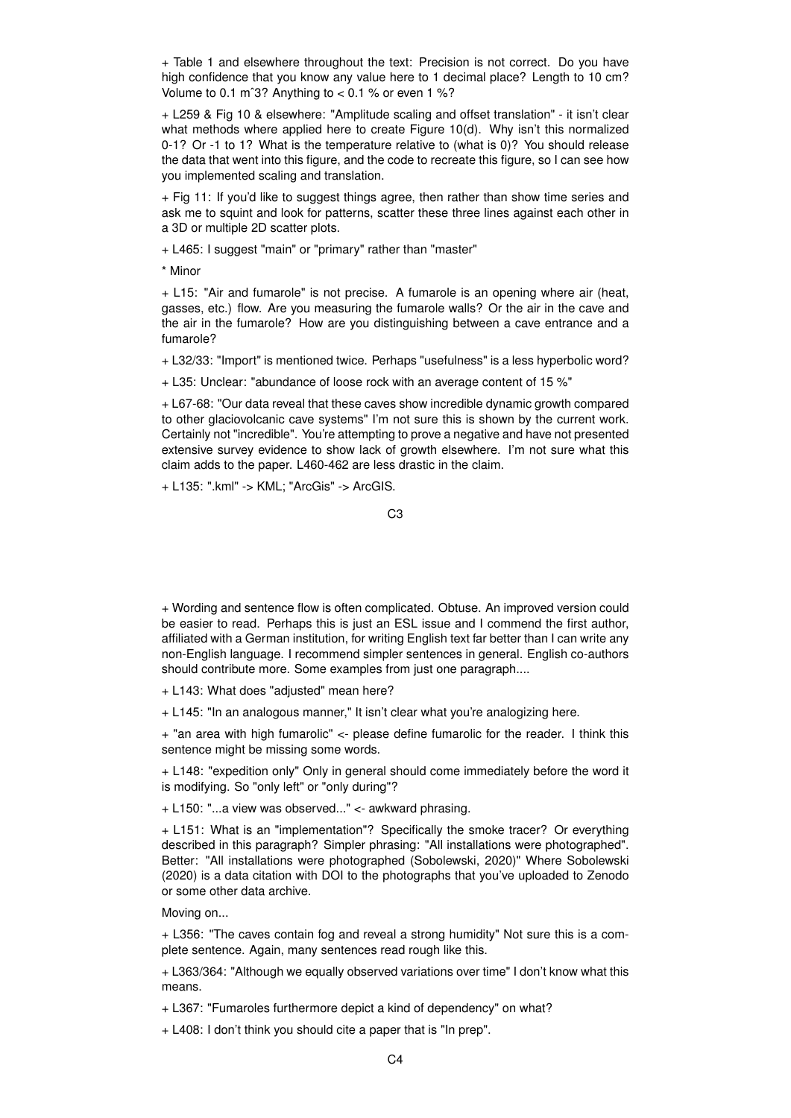+ Table 1 and elsewhere throughout the text: Precision is not correct. Do you have high confidence that you know any value here to 1 decimal place? Length to 10 cm? Volume to 0.1 m<sup>o</sup>3? Anything to  $<$  0.1 % or even 1 %?

+ L259 & Fig 10 & elsewhere: "Amplitude scaling and offset translation" - it isn't clear what methods where applied here to create Figure 10(d). Why isn't this normalized 0-1? Or -1 to 1? What is the temperature relative to (what is 0)? You should release the data that went into this figure, and the code to recreate this figure, so I can see how you implemented scaling and translation.

+ Fig 11: If you'd like to suggest things agree, then rather than show time series and ask me to squint and look for patterns, scatter these three lines against each other in a 3D or multiple 2D scatter plots.

+ L465: I suggest "main" or "primary" rather than "master"

\* Minor

+ L15: "Air and fumarole" is not precise. A fumarole is an opening where air (heat, gasses, etc.) flow. Are you measuring the fumarole walls? Or the air in the cave and the air in the fumarole? How are you distinguishing between a cave entrance and a fumarole?

+ L32/33: "Import" is mentioned twice. Perhaps "usefulness" is a less hyperbolic word?

+ L35: Unclear: "abundance of loose rock with an average content of 15 %"

+ L67-68: "Our data reveal that these caves show incredible dynamic growth compared to other glaciovolcanic cave systems" I'm not sure this is shown by the current work. Certainly not "incredible". You're attempting to prove a negative and have not presented extensive survey evidence to show lack of growth elsewhere. I'm not sure what this claim adds to the paper. L460-462 are less drastic in the claim.

+ L135: ".kml" -> KML; "ArcGis" -> ArcGIS.

+ Wording and sentence flow is often complicated. Obtuse. An improved version could be easier to read. Perhaps this is just an ESL issue and I commend the first author, affiliated with a German institution, for writing English text far better than I can write any non-English language. I recommend simpler sentences in general. English co-authors should contribute more. Some examples from just one paragraph....

+ L143: What does "adjusted" mean here?

+ L145: "In an analogous manner," It isn't clear what you're analogizing here.

+ "an area with high fumarolic" <- please define fumarolic for the reader. I think this sentence might be missing some words.

+ L148: "expedition only" Only in general should come immediately before the word it is modifying. So "only left" or "only during"?

+ L150: "...a view was observed..." <- awkward phrasing.

+ L151: What is an "implementation"? Specifically the smoke tracer? Or everything described in this paragraph? Simpler phrasing: "All installations were photographed". Better: "All installations were photographed (Sobolewski, 2020)" Where Sobolewski (2020) is a data citation with DOI to the photographs that you've uploaded to Zenodo or some other data archive.

Moving on...

+ L356: "The caves contain fog and reveal a strong humidity" Not sure this is a complete sentence. Again, many sentences read rough like this.

+ L363/364: "Although we equally observed variations over time" I don't know what this means.

+ L367: "Fumaroles furthermore depict a kind of dependency" on what?

+ L408: I don't think you should cite a paper that is "In prep".

 $C<sub>3</sub>$